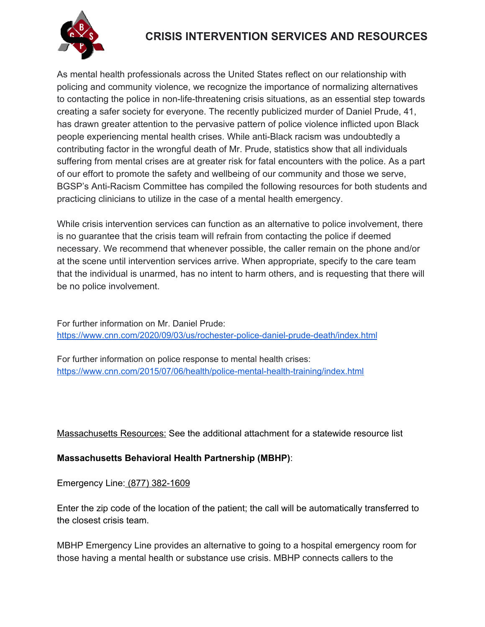

# **CRISIS INTERVENTION SERVICES AND RESOURCES**

As mental health professionals across the United States reflect on our relationship with policing and community violence, we recognize the importance of normalizing alternatives to contacting the police in non-life-threatening crisis situations, as an essential step towards creating a safer society for everyone. The recently publicized murder of Daniel Prude, 41, has drawn greater attention to the pervasive pattern of police violence inflicted upon Black people experiencing mental health crises. While anti-Black racism was undoubtedly a contributing factor in the wrongful death of Mr. Prude, statistics show that all individuals suffering from mental crises are at greater risk for fatal encounters with the police. As a part of our effort to promote the safety and wellbeing of our community and those we serve, BGSP's Anti-Racism Committee has compiled the following resources for both students and practicing clinicians to utilize in the case of a mental health emergency.

While crisis intervention services can function as an alternative to police involvement, there is no guarantee that the crisis team will refrain from contacting the police if deemed necessary. We recommend that whenever possible, the caller remain on the phone and/or at the scene until intervention services arrive. When appropriate, specify to the care team that the individual is unarmed, has no intent to harm others, and is requesting that there will be no police involvement.

For further information on Mr. Daniel Prude: https://www.cnn.com/2020/09/03/us/rochester-police-daniel-prude-death/index.html

For further information on police response to mental health crises: https://www.cnn.com/2015/07/06/health/police-mental-health-training/index.html

Massachusetts Resources: See the additional attachment for a statewide resource list

## **Massachusetts Behavioral Health Partnership (MBHP)**:

Emergency Line: (877) 382-1609

Enter the zip code of the location of the patient; the call will be automatically transferred to the closest crisis team.

MBHP Emergency Line provides an alternative to going to a hospital emergency room for those having a mental health or substance use crisis. MBHP connects callers to the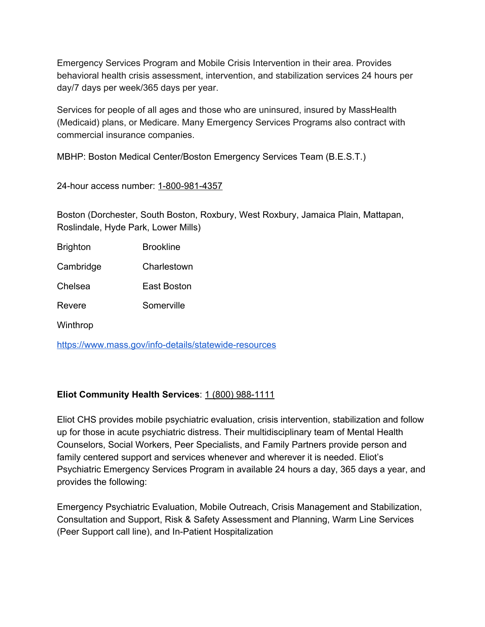Emergency Services Program and Mobile Crisis Intervention in their area. Provides behavioral health crisis assessment, intervention, and stabilization services 24 hours per day/7 days per week/365 days per year.

Services for people of all ages and those who are uninsured, insured by MassHealth (Medicaid) plans, or Medicare. Many Emergency Services Programs also contract with commercial insurance companies.

MBHP: Boston Medical Center/Boston Emergency Services Team (B.E.S.T.)

24-hour access number: 1-800-981-4357

Boston (Dorchester, South Boston, Roxbury, West Roxbury, Jamaica Plain, Mattapan, Roslindale, Hyde Park, Lower Mills)

Brighton Brookline

Cambridge Charlestown

Chelsea East Boston

Revere Somerville

Winthrop

https://www.mass.gov/info-details/statewide-resources

#### **Eliot Community Health Services**: 1 (800) 988-1111

Eliot CHS provides mobile psychiatric evaluation, crisis intervention, stabilization and follow up for those in acute psychiatric distress. Their multidisciplinary team of Mental Health Counselors, Social Workers, Peer Specialists, and Family Partners provide person and family centered support and services whenever and wherever it is needed. Eliot's Psychiatric Emergency Services Program in available 24 hours a day, 365 days a year, and provides the following:

Emergency Psychiatric Evaluation, Mobile Outreach, Crisis Management and Stabilization, Consultation and Support, Risk & Safety Assessment and Planning, Warm Line Services (Peer Support call line), and In-Patient Hospitalization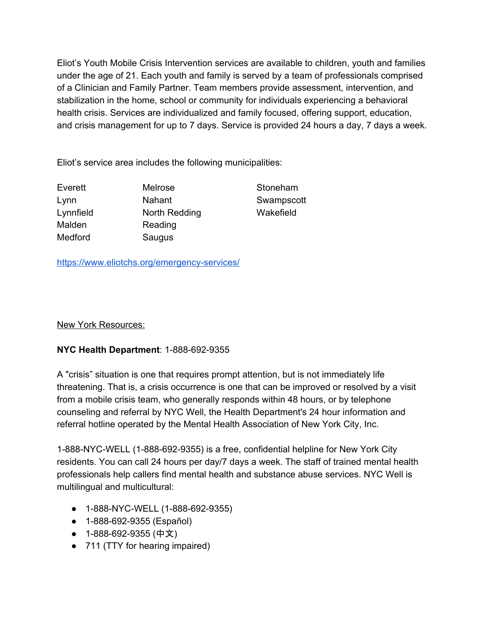Eliot's Youth Mobile Crisis Intervention services are available to children, youth and families under the age of 21. Each youth and family is served by a team of professionals comprised of a Clinician and Family Partner. Team members provide assessment, intervention, and stabilization in the home, school or community for individuals experiencing a behavioral health crisis. Services are individualized and family focused, offering support, education, and crisis management for up to 7 days. Service is provided 24 hours a day, 7 days a week.

Eliot's service area includes the following municipalities:

Everett Melrose Stoneham Lynn Nahant Swampscott Lynnfield North Redding Wakefield Malden Reading Medford Saugus

https://www.eliotchs.org/emergency-services/

#### New York Resources:

## **NYC Health Department**: 1-888-692-9355

A "crisis" situation is one that requires prompt attention, but is not immediately life threatening. That is, a crisis occurrence is one that can be improved or resolved by a visit from a mobile crisis team, who generally responds within 48 hours, or by telephone counseling and referral by NYC Well, the Health Department's 24 hour information and referral hotline operated by the Mental Health Association of New York City, Inc.

1-888-NYC-WELL (1-888-692-9355) is a free, confidential helpline for New York City residents. You can call 24 hours per day/7 days a week. The staff of trained mental health professionals help callers find mental health and substance abuse services. NYC Well is multilingual and multicultural:

- 1-888-NYC-WELL (1-888-692-9355)
- 1-888-692-9355 (Español)
- 1-888-692-9355 (中文)
- 711 (TTY for hearing impaired)